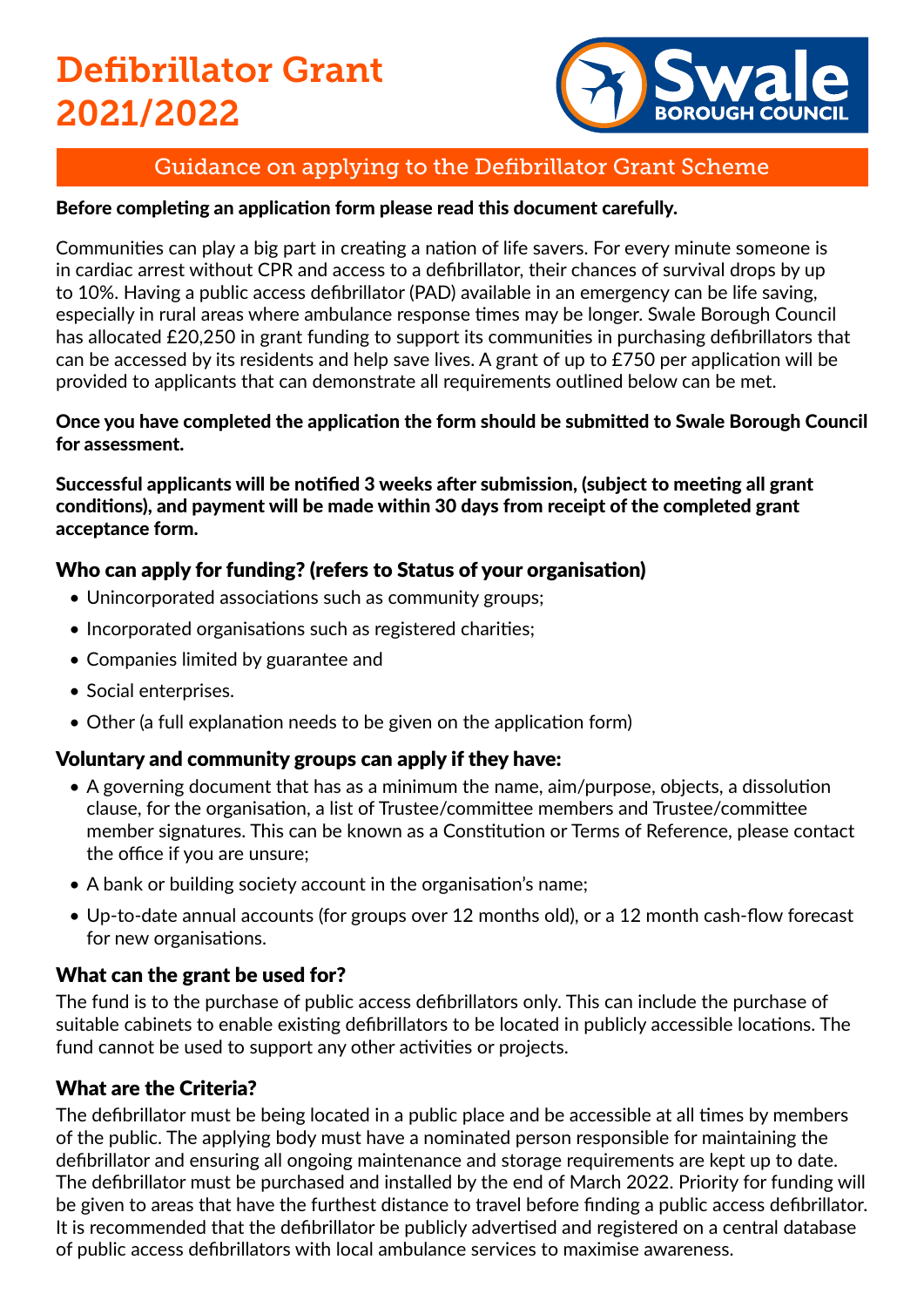# Defibrillator Grant 2021/2022



# Guidance on applying to the Defibrillator Grant Scheme

## Before completing an application form please read this document carefully.

Communities can play a big part in creating a nation of life savers. For every minute someone is in cardiac arrest without CPR and access to a defibrillator, their chances of survival drops by up to 10%. Having a public access defibrillator (PAD) available in an emergency can be life saving, especially in rural areas where ambulance response times may be longer. Swale Borough Council has allocated £20,250 in grant funding to support its communities in purchasing defibrillators that can be accessed by its residents and help save lives. A grant of up to £750 per application will be provided to applicants that can demonstrate all requirements outlined below can be met.

#### Once you have completed the application the form should be submitted to Swale Borough Council for assessment.

Successful applicants will be notified 3 weeks after submission, (subject to meeting all grant conditions), and payment will be made within 30 days from receipt of the completed grant acceptance form.

# Who can apply for funding? (refers to Status of your organisation)

- Unincorporated associations such as community groups;
- Incorporated organisations such as registered charities;
- Companies limited by guarantee and
- Social enterprises.
- Other (a full explanation needs to be given on the application form)

# Voluntary and community groups can apply if they have:

- A governing document that has as a minimum the name, aim/purpose, objects, a dissolution clause, for the organisation, a list of Trustee/committee members and Trustee/committee member signatures. This can be known as a Constitution or Terms of Reference, please contact the office if you are unsure;
- A bank or building society account in the organisation's name;
- Up-to-date annual accounts (for groups over 12 months old), or a 12 month cash-flow forecast for new organisations.

# What can the grant be used for?

The fund is to the purchase of public access defibrillators only. This can include the purchase of suitable cabinets to enable existing defibrillators to be located in publicly accessible locations. The fund cannot be used to support any other activities or projects.

# What are the Criteria?

The defibrillator must be being located in a public place and be accessible at all times by members of the public. The applying body must have a nominated person responsible for maintaining the defibrillator and ensuring all ongoing maintenance and storage requirements are kept up to date. The defibrillator must be purchased and installed by the end of March 2022. Priority for funding will be given to areas that have the furthest distance to travel before finding a public access defibrillator. It is recommended that the defibrillator be publicly advertised and registered on a central database of public access defibrillators with local ambulance services to maximise awareness.